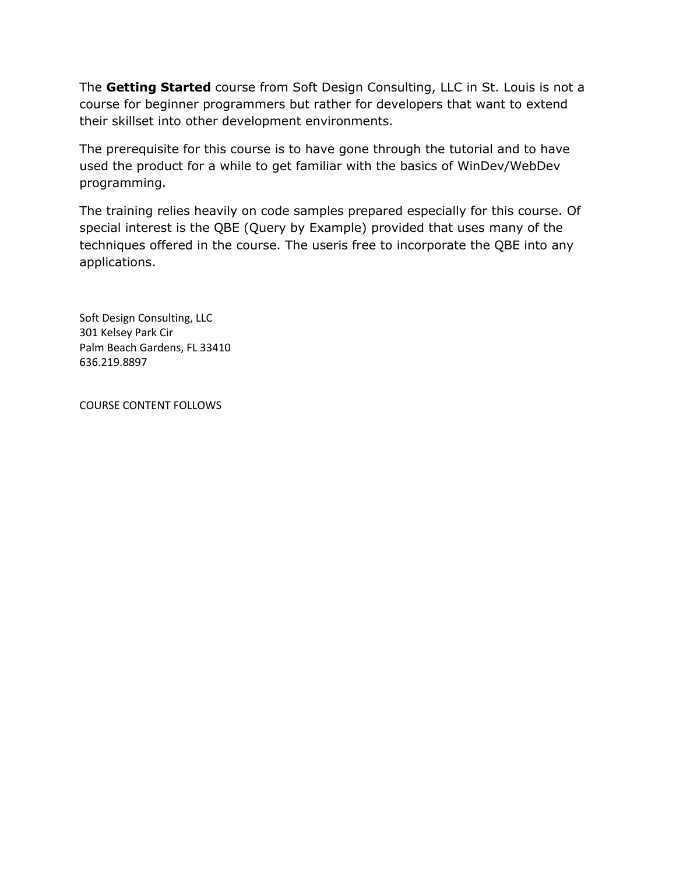The **Getting Started** course from Soft Design Consulting, LLC in St. Louis is not a course for beginner programmers but rather for developers that want to extend their skillset into other development environments.

The prerequisite for this course is to have gone through the tutorial and to have used the product for a while to get familiar with the basics of WinDev/WebDev programming.

The training relies heavily on code samples prepared especially for this course. Of special interest is the QBE (Query by Example) provided that uses many of the techniques offered in the course. The useris free to incorporate the QBE into any applications.

Soft Design Consulting, LLC 301 Kelsey Park Cir Palm Beach Gardens, FL 33410 636.219.8897

COURSE CONTENT FOLLOWS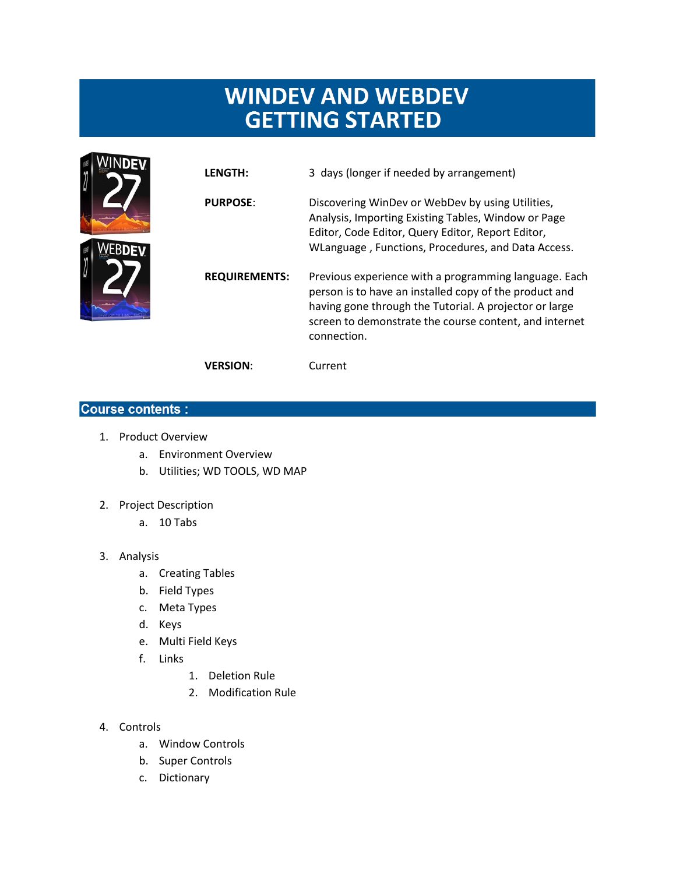## **WINDEV AND WEBDEV GETTING STARTED**



| <b>LENGTH:</b>       | 3 days (longer if needed by arrangement)                                                                                                                                                                                                           |
|----------------------|----------------------------------------------------------------------------------------------------------------------------------------------------------------------------------------------------------------------------------------------------|
| <b>PURPOSE:</b>      | Discovering WinDev or WebDev by using Utilities,<br>Analysis, Importing Existing Tables, Window or Page<br>Editor, Code Editor, Query Editor, Report Editor,<br>WLanguage, Functions, Procedures, and Data Access.                                 |
| <b>REQUIREMENTS:</b> | Previous experience with a programming language. Each<br>person is to have an installed copy of the product and<br>having gone through the Tutorial. A projector or large<br>screen to demonstrate the course content, and internet<br>connection. |
| <b>VERSION:</b>      | Current                                                                                                                                                                                                                                            |

## **Course contents:**

- 1. Product Overview
	- a. Environment Overview
	- b. Utilities; WD TOOLS, WD MAP
- 2. Project Description
	- a. 10 Tabs
- 3. Analysis
	- a. Creating Tables
	- b. Field Types
	- c. Meta Types
	- d. Keys
	- e. Multi Field Keys
	- f. Links
- 1. Deletion Rule
- 2. Modification Rule
- 4. Controls
	- a. Window Controls
	- b. Super Controls
	- c. Dictionary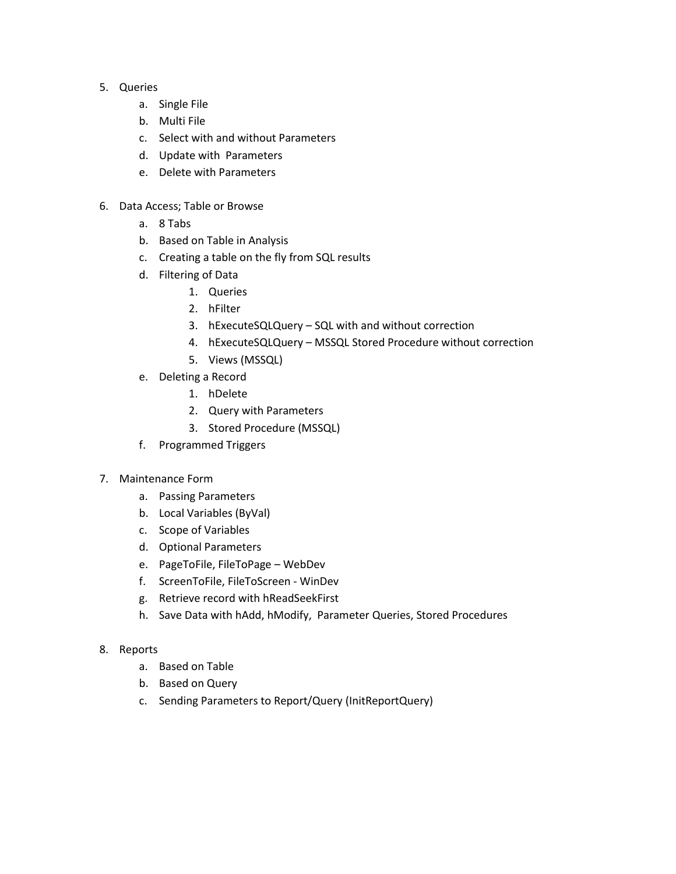- 5. Queries
	- a. Single File
	- b. Multi File
	- c. Select with and without Parameters
	- d. Update with Parameters
	- e. Delete with Parameters
- 6. Data Access; Table or Browse
	- a. 8 Tabs
	- b. Based on Table in Analysis
	- c. Creating a table on the fly from SQL results
	- d. Filtering of Data
		- 1. Queries
		- 2. hFilter
		- 3. hExecuteSQLQuery SQL with and without correction
		- 4. hExecuteSQLQuery MSSQL Stored Procedure without correction
		- 5. Views (MSSQL)
	- e. Deleting a Record
		- 1. hDelete
		- 2. Query with Parameters
		- 3. Stored Procedure (MSSQL)
	- f. Programmed Triggers
- 7. Maintenance Form
	- a. Passing Parameters
	- b. Local Variables (ByVal)
	- c. Scope of Variables
	- d. Optional Parameters
	- e. PageToFile, FileToPage WebDev
	- f. ScreenToFile, FileToScreen WinDev
	- g. Retrieve record with hReadSeekFirst
	- h. Save Data with hAdd, hModify, Parameter Queries, Stored Procedures
- 8. Reports
	- a. Based on Table
	- b. Based on Query
	- c. Sending Parameters to Report/Query (InitReportQuery)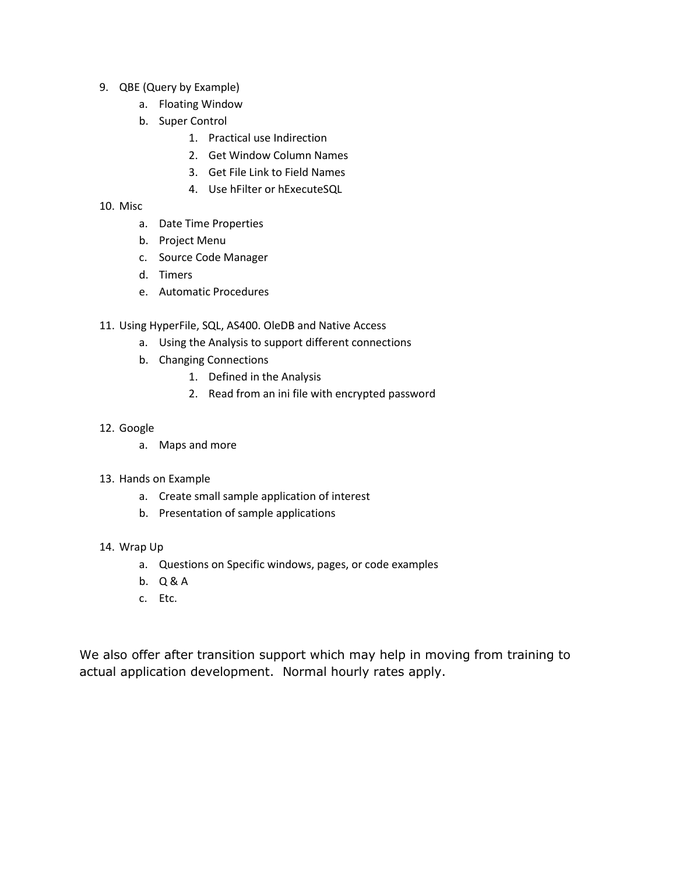- 9. QBE (Query by Example)
	- a. Floating Window
	- b. Super Control
		- 1. Practical use Indirection
		- 2. Get Window Column Names
		- 3. Get File Link to Field Names
		- 4. Use hFilter or hExecuteSQL
- 10. Misc
	- a. Date Time Properties
	- b. Project Menu
	- c. Source Code Manager
	- d. Timers
	- e. Automatic Procedures
- 11. Using HyperFile, SQL, AS400. OleDB and Native Access
	- a. Using the Analysis to support different connections
	- b. Changing Connections
		- 1. Defined in the Analysis
		- 2. Read from an ini file with encrypted password
- 12. Google
	- a. Maps and more
- 13. Hands on Example
	- a. Create small sample application of interest
	- b. Presentation of sample applications
- 14. Wrap Up
	- a. Questions on Specific windows, pages, or code examples
	- b. Q & A
	- c. Etc.

We also offer after transition support which may help in moving from training to actual application development. Normal hourly rates apply.